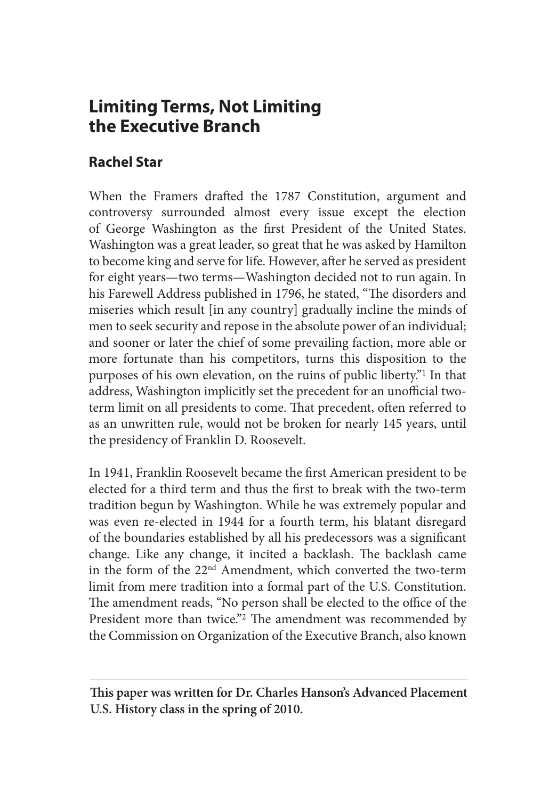# **Limiting Terms, Not Limiting the Executive Branch**

# **Rachel Star**

When the Framers drafted the 1787 Constitution, argument and controversy surrounded almost every issue except the election of George Washington as the first President of the United States. Washington was a great leader, so great that he was asked by Hamilton to become king and serve for life. However, after he served as president for eight years—two terms—Washington decided not to run again. In his Farewell Address published in 1796, he stated, "The disorders and miseries which result [in any country] gradually incline the minds of men to seek security and repose in the absolute power of an individual; and sooner or later the chief of some prevailing faction, more able or more fortunate than his competitors, turns this disposition to the purposes of his own elevation, on the ruins of public liberty."1 In that address, Washington implicitly set the precedent for an unofficial twoterm limit on all presidents to come. That precedent, often referred to as an unwritten rule, would not be broken for nearly 145 years, until the presidency of Franklin D. Roosevelt.

In 1941, Franklin Roosevelt became the first American president to be elected for a third term and thus the first to break with the two-term tradition begun by Washington. While he was extremely popular and was even re-elected in 1944 for a fourth term, his blatant disregard of the boundaries established by all his predecessors was a significant change. Like any change, it incited a backlash. The backlash came in the form of the 22nd Amendment, which converted the two-term limit from mere tradition into a formal part of the U.S. Constitution. The amendment reads, "No person shall be elected to the office of the President more than twice."<sup>2</sup> The amendment was recommended by the Commission on Organization of the Executive Branch, also known

**This paper was written for Dr. Charles Hanson's Advanced Placement U.S. History class in the spring of 2010.**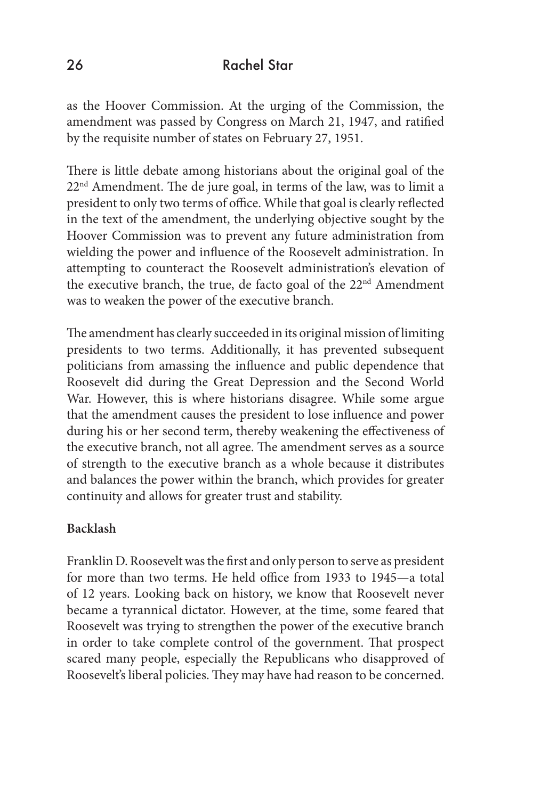as the Hoover Commission. At the urging of the Commission, the amendment was passed by Congress on March 21, 1947, and ratified by the requisite number of states on February 27, 1951.

There is little debate among historians about the original goal of the 22<sup>nd</sup> Amendment. The de jure goal, in terms of the law, was to limit a president to only two terms of office. While that goal is clearly reflected in the text of the amendment, the underlying objective sought by the Hoover Commission was to prevent any future administration from wielding the power and influence of the Roosevelt administration. In attempting to counteract the Roosevelt administration's elevation of the executive branch, the true, de facto goal of the 22<sup>nd</sup> Amendment was to weaken the power of the executive branch.

The amendment has clearly succeeded in its original mission of limiting presidents to two terms. Additionally, it has prevented subsequent politicians from amassing the influence and public dependence that Roosevelt did during the Great Depression and the Second World War. However, this is where historians disagree. While some argue that the amendment causes the president to lose influence and power during his or her second term, thereby weakening the effectiveness of the executive branch, not all agree. The amendment serves as a source of strength to the executive branch as a whole because it distributes and balances the power within the branch, which provides for greater continuity and allows for greater trust and stability.

## **Backlash**

Franklin D. Roosevelt was the first and only person to serve as president for more than two terms. He held office from 1933 to 1945—a total of 12 years. Looking back on history, we know that Roosevelt never became a tyrannical dictator. However, at the time, some feared that Roosevelt was trying to strengthen the power of the executive branch in order to take complete control of the government. That prospect scared many people, especially the Republicans who disapproved of Roosevelt's liberal policies. They may have had reason to be concerned.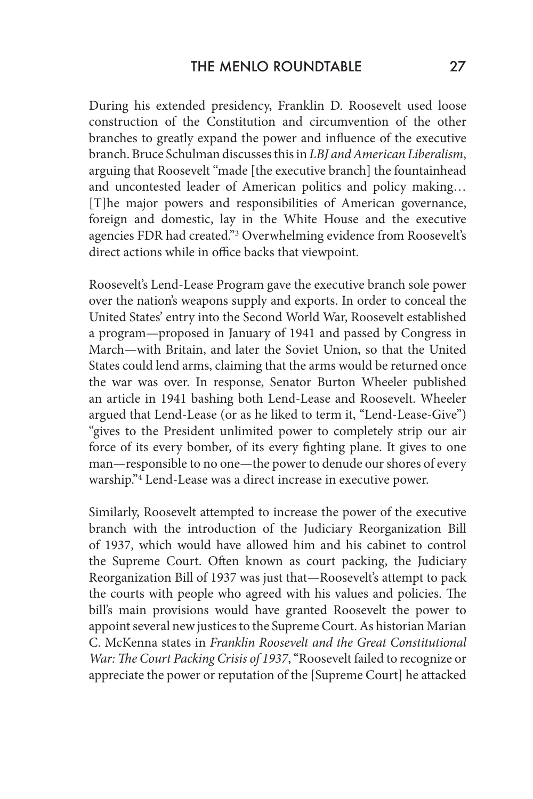During his extended presidency, Franklin D. Roosevelt used loose construction of the Constitution and circumvention of the other branches to greatly expand the power and influence of the executive branch. Bruce Schulman discusses this in *LBJ and American Liberalism*, arguing that Roosevelt "made [the executive branch] the fountainhead and uncontested leader of American politics and policy making… [T]he major powers and responsibilities of American governance, foreign and domestic, lay in the White House and the executive agencies FDR had created."3 Overwhelming evidence from Roosevelt's direct actions while in office backs that viewpoint.

Roosevelt's Lend-Lease Program gave the executive branch sole power over the nation's weapons supply and exports. In order to conceal the United States' entry into the Second World War, Roosevelt established a program—proposed in January of 1941 and passed by Congress in March—with Britain, and later the Soviet Union, so that the United States could lend arms, claiming that the arms would be returned once the war was over. In response, Senator Burton Wheeler published an article in 1941 bashing both Lend-Lease and Roosevelt. Wheeler argued that Lend-Lease (or as he liked to term it, "Lend-Lease-Give") "gives to the President unlimited power to completely strip our air force of its every bomber, of its every fighting plane. It gives to one man—responsible to no one—the power to denude our shores of every warship."4 Lend-Lease was a direct increase in executive power.

Similarly, Roosevelt attempted to increase the power of the executive branch with the introduction of the Judiciary Reorganization Bill of 1937, which would have allowed him and his cabinet to control the Supreme Court. Often known as court packing, the Judiciary Reorganization Bill of 1937 was just that—Roosevelt's attempt to pack the courts with people who agreed with his values and policies. The bill's main provisions would have granted Roosevelt the power to appoint several new justices to the Supreme Court. As historian Marian C. McKenna states in *Franklin Roosevelt and the Great Constitutional War: The Court Packing Crisis of 1937*, "Roosevelt failed to recognize or appreciate the power or reputation of the [Supreme Court] he attacked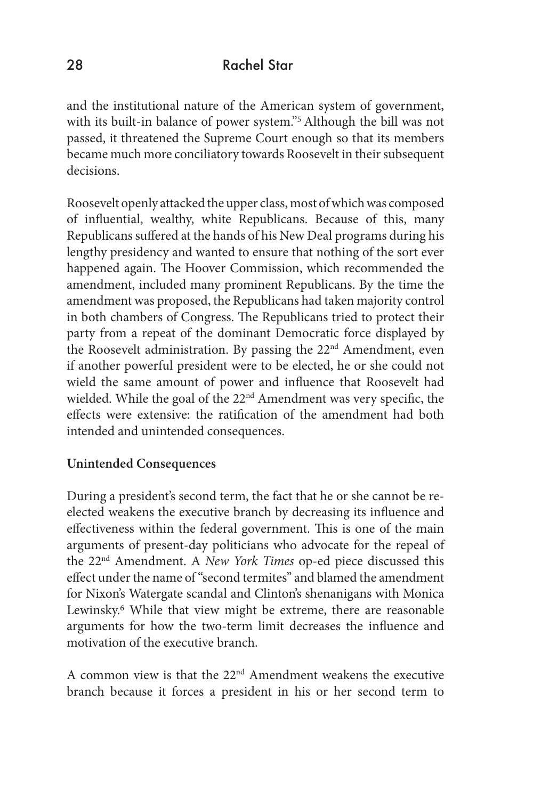and the institutional nature of the American system of government, with its built-in balance of power system."5 Although the bill was not passed, it threatened the Supreme Court enough so that its members became much more conciliatory towards Roosevelt in their subsequent decisions.

Roosevelt openly attacked the upper class, most of which was composed of influential, wealthy, white Republicans. Because of this, many Republicans suffered at the hands of his New Deal programs during his lengthy presidency and wanted to ensure that nothing of the sort ever happened again. The Hoover Commission, which recommended the amendment, included many prominent Republicans. By the time the amendment was proposed, the Republicans had taken majority control in both chambers of Congress. The Republicans tried to protect their party from a repeat of the dominant Democratic force displayed by the Roosevelt administration. By passing the 22<sup>nd</sup> Amendment, even if another powerful president were to be elected, he or she could not wield the same amount of power and influence that Roosevelt had wielded. While the goal of the 22<sup>nd</sup> Amendment was very specific, the effects were extensive: the ratification of the amendment had both intended and unintended consequences.

## **Unintended Consequences**

During a president's second term, the fact that he or she cannot be reelected weakens the executive branch by decreasing its influence and effectiveness within the federal government. This is one of the main arguments of present-day politicians who advocate for the repeal of the 22nd Amendment. A *New York Times* op-ed piece discussed this effect under the name of "second termites" and blamed the amendment for Nixon's Watergate scandal and Clinton's shenanigans with Monica Lewinsky.6 While that view might be extreme, there are reasonable arguments for how the two-term limit decreases the influence and motivation of the executive branch.

A common view is that the 22nd Amendment weakens the executive branch because it forces a president in his or her second term to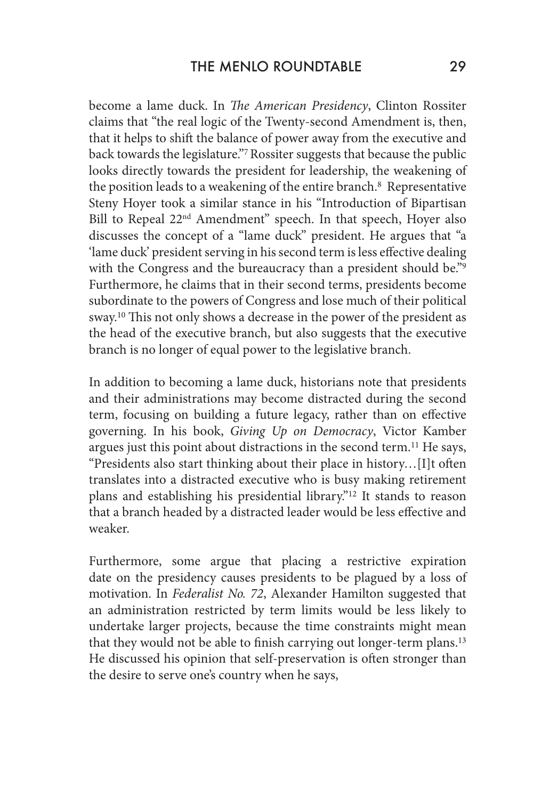become a lame duck. In *The American Presidency*, Clinton Rossiter claims that "the real logic of the Twenty-second Amendment is, then, that it helps to shift the balance of power away from the executive and back towards the legislature."7 Rossiter suggests that because the public looks directly towards the president for leadership, the weakening of the position leads to a weakening of the entire branch.<sup>8</sup> Representative Steny Hoyer took a similar stance in his "Introduction of Bipartisan Bill to Repeal 22<sup>nd</sup> Amendment" speech. In that speech, Hoyer also discusses the concept of a "lame duck" president. He argues that "a 'lame duck' president serving in his second term is less effective dealing with the Congress and the bureaucracy than a president should be."<sup>9</sup> Furthermore, he claims that in their second terms, presidents become subordinate to the powers of Congress and lose much of their political sway.10 This not only shows a decrease in the power of the president as the head of the executive branch, but also suggests that the executive branch is no longer of equal power to the legislative branch.

In addition to becoming a lame duck, historians note that presidents and their administrations may become distracted during the second term, focusing on building a future legacy, rather than on effective governing. In his book, *Giving Up on Democracy*, Victor Kamber argues just this point about distractions in the second term.11 He says, "Presidents also start thinking about their place in history…[I]t often translates into a distracted executive who is busy making retirement plans and establishing his presidential library."12 It stands to reason that a branch headed by a distracted leader would be less effective and weaker.

Furthermore, some argue that placing a restrictive expiration date on the presidency causes presidents to be plagued by a loss of motivation. In *Federalist No. 72*, Alexander Hamilton suggested that an administration restricted by term limits would be less likely to undertake larger projects, because the time constraints might mean that they would not be able to finish carrying out longer-term plans.13 He discussed his opinion that self-preservation is often stronger than the desire to serve one's country when he says,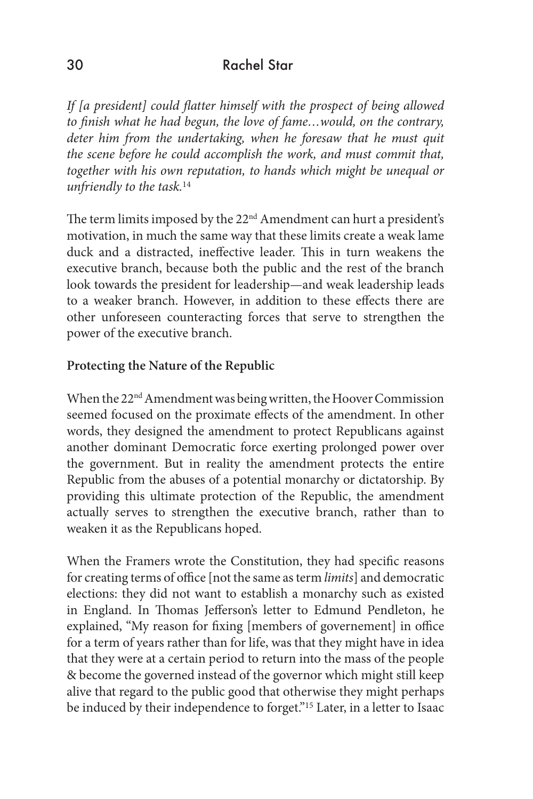*If [a president] could flatter himself with the prospect of being allowed to finish what he had begun, the love of fame…would, on the contrary, deter him from the undertaking, when he foresaw that he must quit the scene before he could accomplish the work, and must commit that, together with his own reputation, to hands which might be unequal or unfriendly to the task.*<sup>14</sup>

The term limits imposed by the 22<sup>nd</sup> Amendment can hurt a president's motivation, in much the same way that these limits create a weak lame duck and a distracted, ineffective leader. This in turn weakens the executive branch, because both the public and the rest of the branch look towards the president for leadership—and weak leadership leads to a weaker branch. However, in addition to these effects there are other unforeseen counteracting forces that serve to strengthen the power of the executive branch.

# **Protecting the Nature of the Republic**

When the 22<sup>nd</sup> Amendment was being written, the Hoover Commission seemed focused on the proximate effects of the amendment. In other words, they designed the amendment to protect Republicans against another dominant Democratic force exerting prolonged power over the government. But in reality the amendment protects the entire Republic from the abuses of a potential monarchy or dictatorship. By providing this ultimate protection of the Republic, the amendment actually serves to strengthen the executive branch, rather than to weaken it as the Republicans hoped.

When the Framers wrote the Constitution, they had specific reasons for creating terms of office [not the same as term *limits*] and democratic elections: they did not want to establish a monarchy such as existed in England. In Thomas Jefferson's letter to Edmund Pendleton, he explained, "My reason for fixing [members of governement] in office for a term of years rather than for life, was that they might have in idea that they were at a certain period to return into the mass of the people & become the governed instead of the governor which might still keep alive that regard to the public good that otherwise they might perhaps be induced by their independence to forget."<sup>15</sup> Later, in a letter to Isaac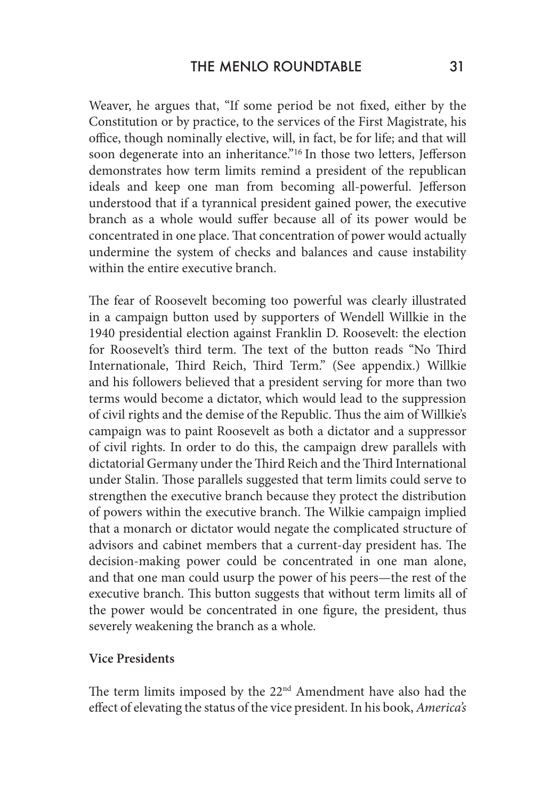Weaver, he argues that, "If some period be not fixed, either by the Constitution or by practice, to the services of the First Magistrate, his office, though nominally elective, will, in fact, be for life; and that will soon degenerate into an inheritance."<sup>16</sup> In those two letters, Jefferson demonstrates how term limits remind a president of the republican ideals and keep one man from becoming all-powerful. Jefferson understood that if a tyrannical president gained power, the executive branch as a whole would suffer because all of its power would be concentrated in one place. That concentration of power would actually undermine the system of checks and balances and cause instability within the entire executive branch.

The fear of Roosevelt becoming too powerful was clearly illustrated in a campaign button used by supporters of Wendell Willkie in the 1940 presidential election against Franklin D. Roosevelt: the election for Roosevelt's third term. The text of the button reads "No Third Internationale, Third Reich, Third Term." (See appendix.) Willkie and his followers believed that a president serving for more than two terms would become a dictator, which would lead to the suppression of civil rights and the demise of the Republic. Thus the aim of Willkie's campaign was to paint Roosevelt as both a dictator and a suppressor of civil rights. In order to do this, the campaign drew parallels with dictatorial Germany under the Third Reich and the Third International under Stalin. Those parallels suggested that term limits could serve to strengthen the executive branch because they protect the distribution of powers within the executive branch. The Wilkie campaign implied that a monarch or dictator would negate the complicated structure of advisors and cabinet members that a current-day president has. The decision-making power could be concentrated in one man alone, and that one man could usurp the power of his peers—the rest of the executive branch. This button suggests that without term limits all of the power would be concentrated in one figure, the president, thus severely weakening the branch as a whole.

#### **Vice Presidents**

The term limits imposed by the  $22<sup>nd</sup>$  Amendment have also had the effect of elevating the status of the vice president. In his book, *America's*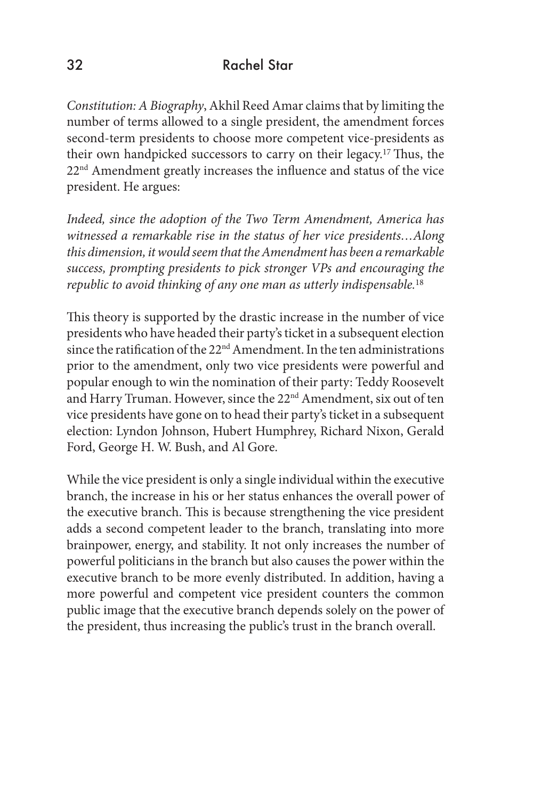*Constitution: A Biography*, Akhil Reed Amar claims that by limiting the number of terms allowed to a single president, the amendment forces second-term presidents to choose more competent vice-presidents as their own handpicked successors to carry on their legacy.17 Thus, the 22<sup>nd</sup> Amendment greatly increases the influence and status of the vice president. He argues:

*Indeed, since the adoption of the Two Term Amendment, America has witnessed a remarkable rise in the status of her vice presidents…Along this dimension, it would seem that the Amendment has been a remarkable success, prompting presidents to pick stronger VPs and encouraging the republic to avoid thinking of any one man as utterly indispensable.*<sup>18</sup>

This theory is supported by the drastic increase in the number of vice presidents who have headed their party's ticket in a subsequent election since the ratification of the 22<sup>nd</sup> Amendment. In the ten administrations prior to the amendment, only two vice presidents were powerful and popular enough to win the nomination of their party: Teddy Roosevelt and Harry Truman. However, since the 22<sup>nd</sup> Amendment, six out of ten vice presidents have gone on to head their party's ticket in a subsequent election: Lyndon Johnson, Hubert Humphrey, Richard Nixon, Gerald Ford, George H. W. Bush, and Al Gore.

While the vice president is only a single individual within the executive branch, the increase in his or her status enhances the overall power of the executive branch. This is because strengthening the vice president adds a second competent leader to the branch, translating into more brainpower, energy, and stability. It not only increases the number of powerful politicians in the branch but also causes the power within the executive branch to be more evenly distributed. In addition, having a more powerful and competent vice president counters the common public image that the executive branch depends solely on the power of the president, thus increasing the public's trust in the branch overall.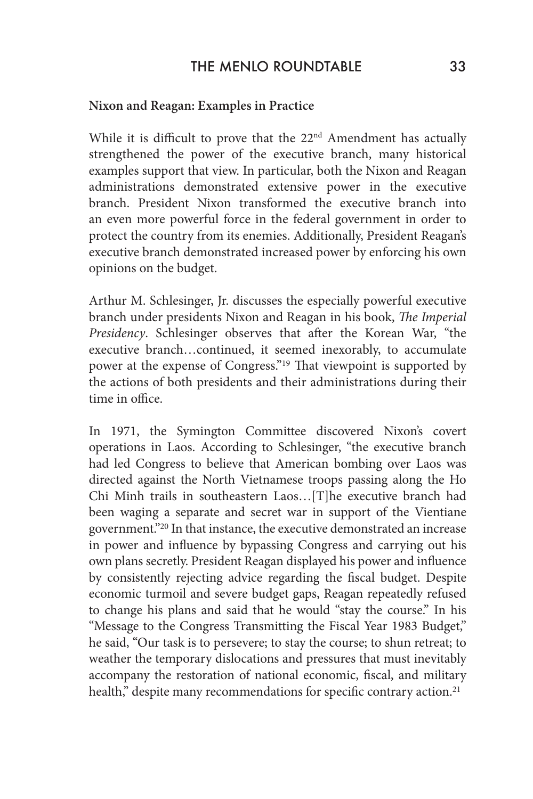## **Nixon and Reagan: Examples in Practice**

While it is difficult to prove that the 22<sup>nd</sup> Amendment has actually strengthened the power of the executive branch, many historical examples support that view. In particular, both the Nixon and Reagan administrations demonstrated extensive power in the executive branch. President Nixon transformed the executive branch into an even more powerful force in the federal government in order to protect the country from its enemies. Additionally, President Reagan's executive branch demonstrated increased power by enforcing his own opinions on the budget.

Arthur M. Schlesinger, Jr. discusses the especially powerful executive branch under presidents Nixon and Reagan in his book, *The Imperial Presidency*. Schlesinger observes that after the Korean War, "the executive branch…continued, it seemed inexorably, to accumulate power at the expense of Congress."19 That viewpoint is supported by the actions of both presidents and their administrations during their time in office.

In 1971, the Symington Committee discovered Nixon's covert operations in Laos. According to Schlesinger, "the executive branch had led Congress to believe that American bombing over Laos was directed against the North Vietnamese troops passing along the Ho Chi Minh trails in southeastern Laos…[T]he executive branch had been waging a separate and secret war in support of the Vientiane government."20 In that instance, the executive demonstrated an increase in power and influence by bypassing Congress and carrying out his own plans secretly. President Reagan displayed his power and influence by consistently rejecting advice regarding the fiscal budget. Despite economic turmoil and severe budget gaps, Reagan repeatedly refused to change his plans and said that he would "stay the course." In his "Message to the Congress Transmitting the Fiscal Year 1983 Budget," he said, "Our task is to persevere; to stay the course; to shun retreat; to weather the temporary dislocations and pressures that must inevitably accompany the restoration of national economic, fiscal, and military health," despite many recommendations for specific contrary action.<sup>21</sup>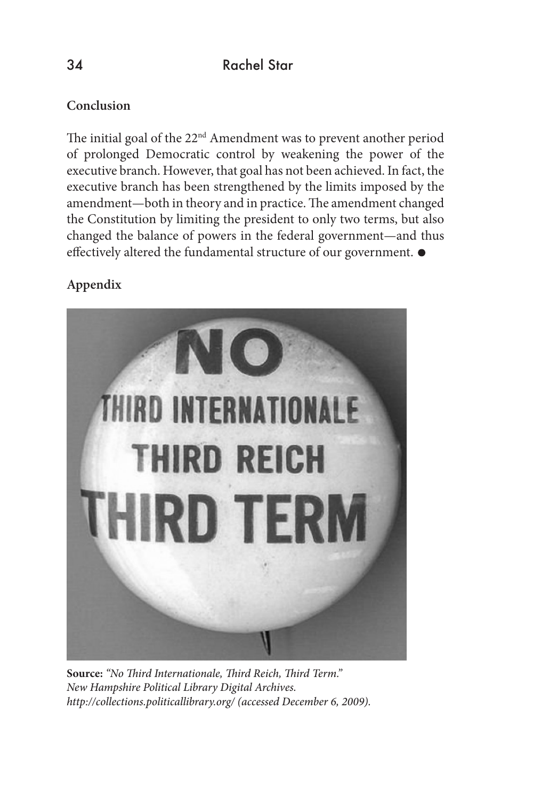# **Conclusion**

The initial goal of the 22<sup>nd</sup> Amendment was to prevent another period of prolonged Democratic control by weakening the power of the executive branch. However, that goal has not been achieved. In fact, the executive branch has been strengthened by the limits imposed by the amendment—both in theory and in practice. The amendment changed the Constitution by limiting the president to only two terms, but also changed the balance of powers in the federal government—and thus effectively altered the fundamental structure of our government.  $\bullet$ 

# **Appendix**



**Source:** *"No Third Internationale, Third Reich, Third Term." New Hampshire Political Library Digital Archives. http://collections.politicallibrary.org/ (accessed December 6, 2009).*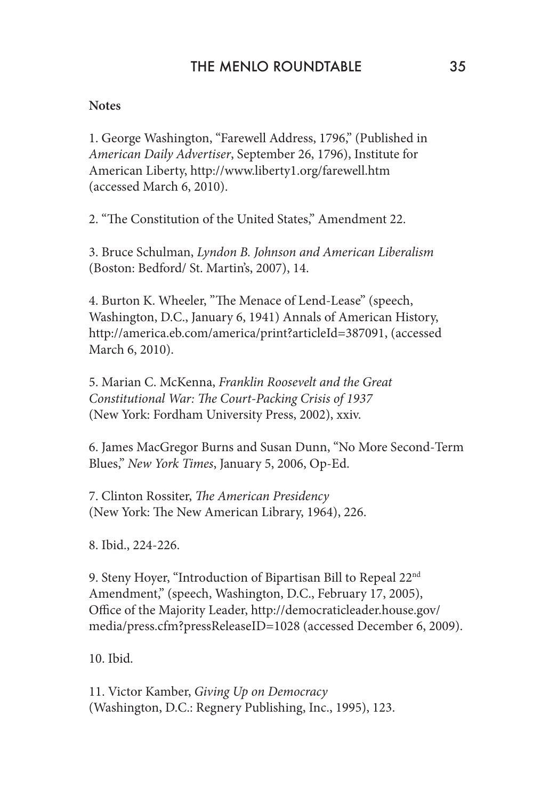## **Notes**

1. George Washington, "Farewell Address, 1796," (Published in *American Daily Advertiser*, September 26, 1796), Institute for American Liberty, http://www.liberty1.org/farewell.htm (accessed March 6, 2010).

2. "The Constitution of the United States," Amendment 22.

3. Bruce Schulman, *Lyndon B. Johnson and American Liberalism* (Boston: Bedford/ St. Martin's, 2007), 14.

4. Burton K. Wheeler, "The Menace of Lend-Lease" (speech, Washington, D.C., January 6, 1941) Annals of American History, http://america.eb.com/america/print?articleId=387091, (accessed March 6, 2010).

5. Marian C. McKenna, *Franklin Roosevelt and the Great Constitutional War: The Court-Packing Crisis of 1937* (New York: Fordham University Press, 2002), xxiv.

6. James MacGregor Burns and Susan Dunn, "No More Second-Term Blues," *New York Times*, January 5, 2006, Op-Ed.

7. Clinton Rossiter, *The American Presidency* (New York: The New American Library, 1964), 226.

8. Ibid., 224-226.

9. Steny Hoyer, "Introduction of Bipartisan Bill to Repeal 22<sup>nd</sup> Amendment," (speech, Washington, D.C., February 17, 2005), Office of the Majority Leader, http://democraticleader.house.gov/ media/press.cfm?pressReleaseID=1028 (accessed December 6, 2009).

10. Ibid.

11. Victor Kamber, *Giving Up on Democracy* (Washington, D.C.: Regnery Publishing, Inc., 1995), 123.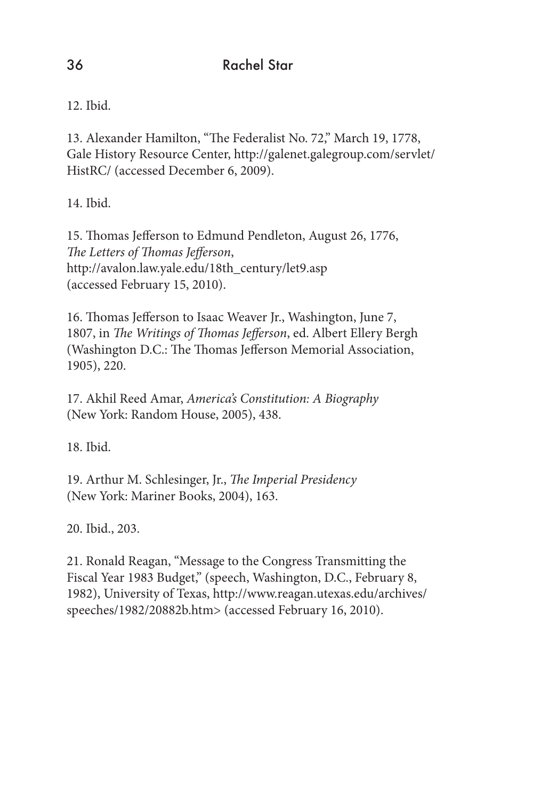12. Ibid.

13. Alexander Hamilton, "The Federalist No. 72," March 19, 1778, Gale History Resource Center, http://galenet.galegroup.com/servlet/ HistRC/ (accessed December 6, 2009).

14. Ibid.

15. Thomas Jefferson to Edmund Pendleton, August 26, 1776, *The Letters of Thomas Jefferson*, http://avalon.law.yale.edu/18th\_century/let9.asp (accessed February 15, 2010).

16. Thomas Jefferson to Isaac Weaver Jr., Washington, June 7, 1807, in *The Writings of Thomas Jefferson*, ed. Albert Ellery Bergh (Washington D.C.: The Thomas Jefferson Memorial Association, 1905), 220.

17. Akhil Reed Amar, *America's Constitution: A Biography* (New York: Random House, 2005), 438.

18. Ibid.

19. Arthur M. Schlesinger, Jr., *The Imperial Presidency* (New York: Mariner Books, 2004), 163.

20. Ibid., 203.

21. Ronald Reagan, "Message to the Congress Transmitting the Fiscal Year 1983 Budget," (speech, Washington, D.C., February 8, 1982), University of Texas, http://www.reagan.utexas.edu/archives/ speeches/1982/20882b.htm> (accessed February 16, 2010).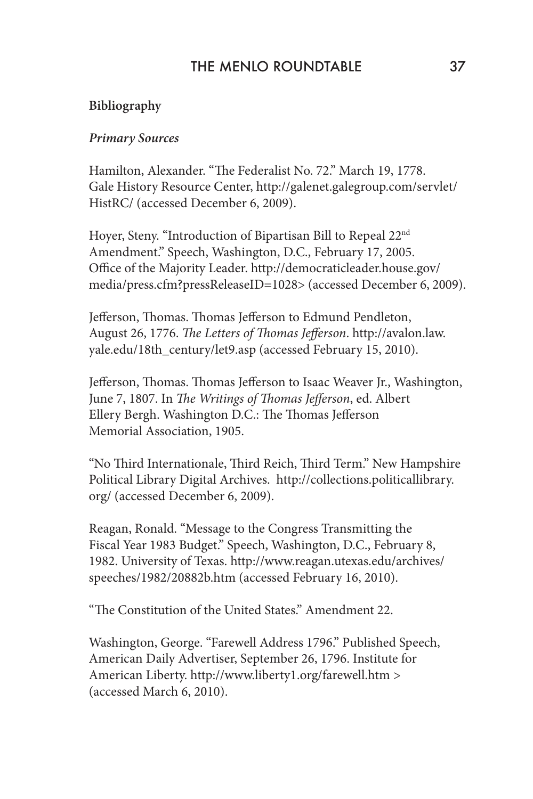## THE MENLO ROUNDTABLE 37

### **Bibliography**

#### *Primary Sources*

Hamilton, Alexander. "The Federalist No. 72." March 19, 1778. Gale History Resource Center, http://galenet.galegroup.com/servlet/ HistRC/ (accessed December 6, 2009).

Hoyer, Steny. "Introduction of Bipartisan Bill to Repeal 22nd Amendment." Speech, Washington, D.C., February 17, 2005. Office of the Majority Leader. http://democraticleader.house.gov/ media/press.cfm?pressReleaseID=1028> (accessed December 6, 2009).

Jefferson, Thomas. Thomas Jefferson to Edmund Pendleton, August 26, 1776. *The Letters of Thomas Jefferson*. http://avalon.law. yale.edu/18th\_century/let9.asp (accessed February 15, 2010).

Jefferson, Thomas. Thomas Jefferson to Isaac Weaver Jr., Washington, June 7, 1807. In *The Writings of Thomas Jefferson*, ed. Albert Ellery Bergh. Washington D.C.: The Thomas Jefferson Memorial Association, 1905.

"No Third Internationale, Third Reich, Third Term." New Hampshire Political Library Digital Archives. http://collections.politicallibrary. org/ (accessed December 6, 2009).

Reagan, Ronald. "Message to the Congress Transmitting the Fiscal Year 1983 Budget." Speech, Washington, D.C., February 8, 1982. University of Texas. http://www.reagan.utexas.edu/archives/ speeches/1982/20882b.htm (accessed February 16, 2010).

"The Constitution of the United States." Amendment 22.

Washington, George. "Farewell Address 1796." Published Speech, American Daily Advertiser, September 26, 1796. Institute for American Liberty. http://www.liberty1.org/farewell.htm > (accessed March 6, 2010).